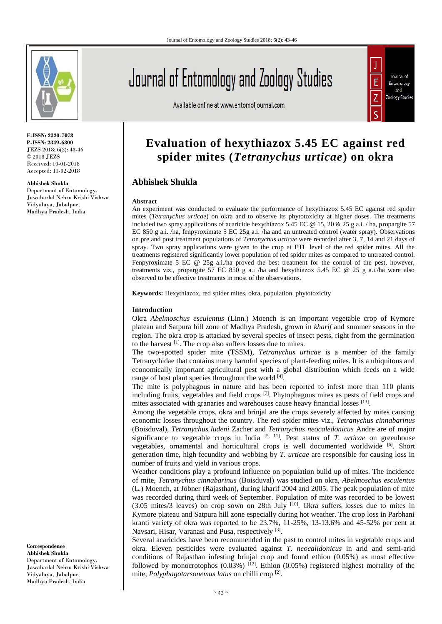

**E-ISSN: 2320-7078 P-ISSN: 2349-6800** JEZS 2018; 6(2): 43-46 © 2018 JEZS Received: 10-01-2018 Accepted: 11-02-2018

**Abhishek Shukla**

Department of Entomology, Jawaharlal Nehru Krishi Vishwa Vidyalaya, Jabalpur, Madhya Pradesh, India

# Journal of Entomology and Zoology Studies

Available online at www.entomoljournal.com



# **Evaluation of hexythiazox 5.45 EC against red spider mites (***Tetranychus urticae***) on okra**

# **Abhishek Shukla**

#### **Abstract**

An experiment was conducted to evaluate the performance of hexythiazox 5.45 EC against red spider mites (*Tetranychus urticae*) on okra and to observe its phytotoxicity at higher doses. The treatments included two spray applications of acaricide hexythiazox 5.45 EC  $\omega$  15, 20 & 25 g a.i. / ha, propargite 57 EC 850 g a.i. /ha, fenpyroximate 5 EC 25g a.i. /ha and an untreated control (water spray). Observations on pre and post treatment populations of *Tetranychus urticae* were recorded after 3, 7, 14 and 21 days of spray. Two spray applications were given to the crop at ETL level of the red spider mites. All the treatments registered significantly lower population of red spider mites as compared to untreated control. Fenpyroximate 5 EC @ 25g a.i./ha proved the best treatment for the control of the pest, however, treatments viz., propargite 57 EC 850 g a.i /ha and hexythiazox 5.45 EC  $@$  25 g a.i./ha were also observed to be effective treatments in most of the observations.

**Keywords:** Hexythiazox, red spider mites, okra, population, phytotoxicity

### **Introduction**

Okra *Abelmoschus esculentus* (Linn.) Moench is an important vegetable crop of Kymore plateau and Satpura hill zone of Madhya Pradesh, grown in *kharif* and summer seasons in the region. The okra crop is attacked by several species of insect pests, right from the germination to the harvest <sup>[1]</sup>. The crop also suffers losses due to mites.

The two-spotted spider mite (TSSM), *Tetranychus urticae* is a member of the family Tetranychidae that contains many harmful species of plant-feeding mites. It is a ubiquitous and economically important agricultural pest with a global distribution which feeds on a wide range of host plant species throughout the world [4].

The mite is polyphagous in nature and has been reported to infest more than 110 plants including fruits, vegetables and field crops  $\left[7\right]$ . Phytophagous mites as pests of field crops and mites associated with granaries and warehouses cause heavy financial losses [13].

Among the vegetable crops, okra and brinjal are the crops severely affected by mites causing economic losses throughout the country. The red spider mites viz., *Tetranychus cinnabarinus* (Boisduval), *Tetranychus ludeni* Zacher and *Tetranychus neocaledonicus* Andre are of major significance to vegetable crops in India  $[5, 11]$ . Pest status of *T. urticae* on greenhouse vegetables, ornamental and horticultural crops is well documented worldwide [6] . Short generation time, high fecundity and webbing by *T. urticae* are responsible for causing loss in number of fruits and yield in various crops.

Weather conditions play a profound influence on population build up of mites. The incidence of mite, *Tetranychus cinnabarinus* (Boisduval) was studied on okra, *Abelmoschus esculentus* (L.) Moench, at Jobner (Rajasthan), during kharif 2004 and 2005. The peak population of mite was recorded during third week of September. Population of mite was recorded to be lowest  $(3.05 \text{ miles/3}$  leaves) on crop sown on 28th July  $[10]$ . Okra suffers losses due to mites in Kymore plateau and Satpura hill zone especially during hot weather. The crop loss in Parbhani kranti variety of okra was reported to be 23.7%, 11-25%, 13-13.6% and 45-52% per cent at Navsari, Hisar, Varanasi and Pusa, respectively<sup>[3]</sup>.

Several acaricides have been recommended in the past to control mites in vegetable crops and okra. Eleven pesticides were evaluated against *T. neocalidonicus* in arid and semi-arid conditions of Rajasthan infesting brinjal crop and found ethion (0.05%) as most effective followed by monocrotophos  $(0.03\%)$  [12]. Ethion  $(0.05\%)$  registered highest mortality of the mite, *Polyphagotarsonemus latus* on chilli crop [2] .

**Correspondence Abhishek Shukla** Department of Entomology, Jawaharlal Nehru Krishi Vishwa Vidyalaya, Jabalpur, Madhya Pradesh, India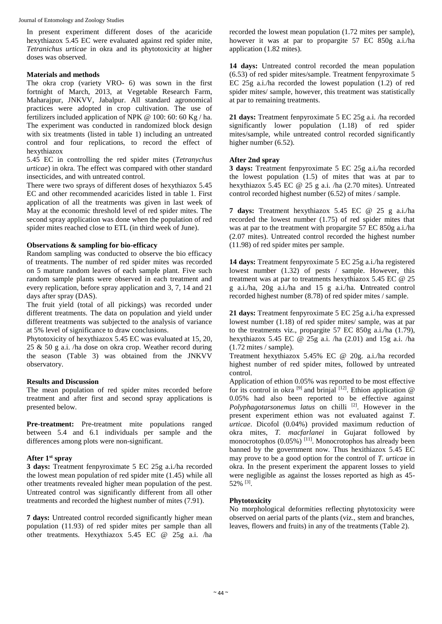In present experiment different doses of the acaricide hexythiazox 5.45 EC were evaluated against red spider mite, *Tetranichus urticae* in okra and its phytotoxicity at higher doses was observed.

#### **Materials and methods**

The okra crop (variety VRO- 6) was sown in the first fortnight of March, 2013, at Vegetable Research Farm, Maharajpur, JNKVV, Jabalpur. All standard agronomical practices were adopted in crop cultivation. The use of fertilizers included application of NPK @ 100: 60: 60 Kg / ha. The experiment was conducted in randomized block design with six treatments (listed in table 1) including an untreated control and four replications, to record the effect of hexythiazox

5.45 EC in controlling the red spider mites (*Tetranychus urticae*) in okra. The effect was compared with other standard insecticides, and with untreated control.

There were two sprays of different doses of hexythiazox 5.45 EC and other recommended acaricides listed in table 1. First application of all the treatments was given in last week of May at the economic threshold level of red spider mites. The second spray application was done when the population of red spider mites reached close to ETL (in third week of June).

### **Observations & sampling for bio-efficacy**

Random sampling was conducted to observe the bio efficacy of treatments. The number of red spider mites was recorded on 5 mature random leaves of each sample plant. Five such random sample plants were observed in each treatment and every replication, before spray application and 3, 7, 14 and 21 days after spray (DAS).

The fruit yield (total of all pickings) was recorded under different treatments. The data on population and yield under different treatments was subjected to the analysis of variance at 5% level of significance to draw conclusions.

Phytotoxicity of hexythiazox 5.45 EC was evaluated at 15, 20, 25 & 50 g a.i. /ha dose on okra crop. Weather record during the season (Table 3) was obtained from the JNKVV observatory.

# **Results and Discussion**

The mean population of red spider mites recorded before treatment and after first and second spray applications is presented below.

**Pre-treatment:** Pre-treatment mite populations ranged between 5.4 and 6.1 individuals per sample and the differences among plots were non-significant.

# **After 1st spray**

**3 days:** Treatment fenpyroximate 5 EC 25g a.i./ha recorded the lowest mean population of red spider mite (1.45) while all other treatments revealed higher mean population of the pest. Untreated control was significantly different from all other treatments and recorded the highest number of mites (7.91).

**7 days:** Untreated control recorded significantly higher mean population (11.93) of red spider mites per sample than all other treatments. Hexythiazox 5.45 EC @ 25g a.i. /ha recorded the lowest mean population (1.72 mites per sample), however it was at par to propargite 57 EC 850g a.i./ha application (1.82 mites).

**14 days:** Untreated control recorded the mean population (6.53) of red spider mites/sample. Treatment fenpyroximate 5 EC 25g a.i./ha recorded the lowest population (1.2) of red spider mites/ sample, however, this treatment was statistically at par to remaining treatments.

**21 days:** Treatment fenpyroximate 5 EC 25g a.i. /ha recorded significantly lower population (1.18) of red spider mites/sample, while untreated control recorded significantly higher number (6.52).

# **After 2nd spray**

**3 days:** Treatment fenpyroximate 5 EC 25g a.i./ha recorded the lowest population (1.5) of mites that was at par to hexythiazox 5.45 EC @ 25 g a.i. /ha (2.70 mites). Untreated control recorded highest number (6.52) of mites / sample.

**7 days:** Treatment hexythiazox 5.45 EC @ 25 g a.i./ha recorded the lowest number (1.75) of red spider mites that was at par to the treatment with propargite 57 EC 850g a.i./ha (2.07 mites). Untreated control recorded the highest number (11.98) of red spider mites per sample.

**14 days:** Treatment fenpyroximate 5 EC 25g a.i./ha registered lowest number (1.32) of pests / sample. However, this treatment was at par to treatments hexythiazox 5.45 EC @ 25 g a.i./ha, 20g a.i./ha and 15 g a.i./ha. **U**ntreated control recorded highest number (8.78) of red spider mites / sample.

**21 days:** Treatment fenpyroximate 5 EC 25g a.i./ha expressed lowest number (1.18) of red spider mites/ sample, was at par to the treatments viz., propargite 57 EC 850g a.i./ha (1.79), hexythiazox 5.45 EC  $@$  25g a.i. /ha (2.01) and 15g a.i. /ha (1.72 mites / sample).

Treatment hexythiazox 5.45% EC @ 20g. a.i./ha recorded highest number of red spider mites, followed by untreated control.

Application of ethion 0.05% was reported to be most effective for its control in okra  $^{[9]}$  and brinjal  $^{[12]}$ . Ethion application  $@$ 0.05% had also been reported to be effective against Polyphagotarsonemus latus on chilli<sup>[2]</sup>. However in the present experiment ethion was not evaluated against *T. urticae*. Dicofol (0.04%) provided maximum reduction of okra mites, *T. macfarlanei* in Gujarat followed by monocrotophos (0.05%) <sup>[11]</sup>. Monocrotophos has already been banned by the government now. Thus hexithiazox 5.45 EC may prove to be a good option for the control of *T. urticae* in okra. In the present experiment the apparent losses to yield were negligible as against the losses reported as high as 45- 52% [3] .

# **Phytotoxicity**

No morphological deformities reflecting phytotoxicity were observed on aerial parts of the plants (viz., stem and branches, leaves, flowers and fruits) in any of the treatments (Table 2).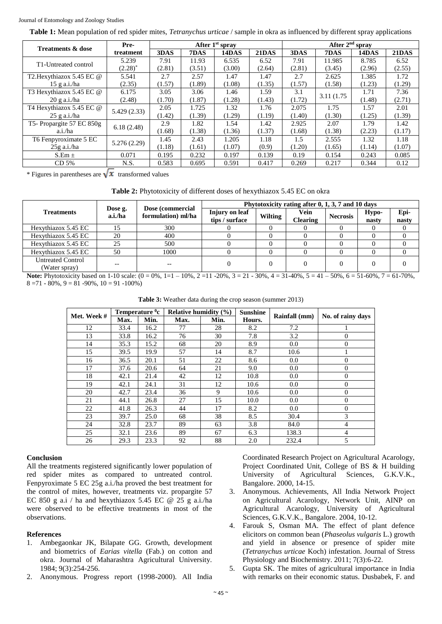**Table 1:** Mean population of red spider mites, *Tetranychus urticae* / sample in okra as influenced by different spray applications

|                              | Pre-        | After 1 <sup>st</sup> spray |        |        |        | After $2nd$ sprav |             |        |              |
|------------------------------|-------------|-----------------------------|--------|--------|--------|-------------------|-------------|--------|--------------|
| <b>Treatments &amp; dose</b> | treatment   | 3DAS                        | 7DAS   | 14DAS  | 21DAS  | 3DAS              | 7DAS        | 14DAS  | <b>21DAS</b> |
| T1-Untreated control         | 5.239       | 7.91                        | 11.93  | 6.535  | 6.52   | 7.91              | 11.985      | 8.785  | 6.52         |
|                              | $(2.28)^*$  | (2.81)                      | (3.51) | (3.00) | (2.64) | (2.81)            | (3.45)      | (2.96) | (2.55)       |
| T2. Hexythiazox 5.45 EC @    | 5.541       | 2.7                         | 2.57   | 1.47   | 1.47   | 2.7               | 2.625       | 1.385  | 1.72         |
| $15$ g a.i./ha               | (2.35)      | (1.57)                      | (1.89) | (1.08) | (1.35) | (1.57)            | (1.58)      | (1.23) | (1.29)       |
| T3 Hexythiazox 5.45 EC @     | 6.175       | 3.05                        | 3.06   | 1.46   | 1.59   | 3.1               | 3.11 (1.75) | 1.71   | 7.36         |
| $20$ g a.i./ha               | (2.48)      | (1.70)                      | (1.87) | (1.28) | (1.43) | (1.72)            |             | (1.48) | (2.71)       |
| T4 Hexythiazox 5.45 EC @     | 5.429(2.33) | 2.05                        | 1.725  | 1.32   | 1.76   | 2.075             | 1.75        | 1.57   | 2.01         |
| $25$ g a.i./ha               |             | (1.42)                      | (1.39) | (1.29) | (1.19) | (1.40)            | (1.30)      | (1.25) | (1.39)       |
| T5- Propargite 57 EC 850g    | 6.18(2.48)  | 2.9                         | 1.82   | 1.54   | 1.42   | 2.925             | 2.07        | 1.79   | 1.42         |
| a.i./ha                      |             | (1.68)                      | (1.38) | (1.36) | (1.37) | (1.68)            | (1.38)      | (2.23) | (1.17)       |
| T6 Fenpyroximate 5 EC        |             | 1.45                        | 2.43   | 1.205  | 1.18   | 1.5               | 2.555       | 1.32   | 1.18         |
| $25g$ a.i./ha                | 5.276(2.29) | (1.18)                      | (1.61) | (1.07) | (0.9)  | (1.20)            | (1.65)      | (1.14) | (1.07)       |
| $S.Em \pm$                   | 0.071       | 0.195                       | 0.232  | 0.197  | 0.139  | 0.19              | 0.154       | 0.243  | 0.085        |
| CD <sub>5%</sub>             | N.S.        | 0.583                       | 0.695  | 0.591  | 0.417  | 0.269             | 0.217       | 0.344  | 0.12         |

\* Figures in parentheses are  $\sqrt{x}$  transformed values

**Table 2:** Phytotoxicity of different doses of hexythiazox 5.45 EC on okra

|                                           | Dose g.<br>a.i./ha |                                        | Phytotoxicity rating after 0, 1, 3, 7 and 10 days |         |                         |                 |                |               |  |  |
|-------------------------------------------|--------------------|----------------------------------------|---------------------------------------------------|---------|-------------------------|-----------------|----------------|---------------|--|--|
| <b>Treatments</b>                         |                    | Dose (commercial<br>formulation) ml/ha | Injury on leaf<br>tips / surface                  | Wilting | Vein<br><b>Clearing</b> | <b>Necrosis</b> | Hypo-<br>nasty | Epi-<br>nasty |  |  |
| Hexythiazox 5.45 EC                       |                    | 300                                    |                                                   |         |                         |                 |                |               |  |  |
| Hexythiazox 5.45 EC                       | 20                 | 400                                    |                                                   |         |                         |                 |                |               |  |  |
| Hexythiazox 5.45 EC                       | 25                 | 500                                    |                                                   |         |                         |                 |                |               |  |  |
| Hexythiazox 5.45 EC                       | 50                 | 1000                                   |                                                   |         |                         |                 |                |               |  |  |
| <b>Untreated Control</b><br>(Water spray) |                    |                                        |                                                   |         |                         |                 |                |               |  |  |

**Note:** Phytotoxicity based on 1-10 scale:  $(0 = 0\%, 1 = 1 - 10\%, 2 = 11 - 20\%, 3 = 21 - 30\%, 4 = 31 - 40\%, 5 = 41 - 50\%, 6 = 51 - 60\%, 7 = 61 - 70\%,$  $8 = 71 - 80\%, 9 = 81 - 90\%, 10 = 91 - 100\%$ 

**Table 3:** Weather data during the crop season (summer 2013)

| Met. Week # | Temperature <sup>0</sup> c |      | Relative humidity $(\% )$ |      | <b>Sunshine</b> |               |                   |  |
|-------------|----------------------------|------|---------------------------|------|-----------------|---------------|-------------------|--|
|             | Max.                       | Min. | Max.                      | Min. | Hours.          | Rainfall (mm) | No. of rainy days |  |
| 12          | 33.4                       | 16.2 | 77                        | 28   | 8.2             | 7.2           |                   |  |
| 13          | 33.8                       | 16.2 | 76                        | 30   | 7.8             | 3.2           | $\overline{0}$    |  |
| 14          | 35.3                       | 15.2 | 68                        | 20   | 8.9             | $0.0\,$       | $\overline{0}$    |  |
| 15          | 39.5                       | 19.9 | 57                        | 14   | 8.7             | 10.6          |                   |  |
| 16          | 36.5                       | 20.1 | 51                        | 22   | 8.6             | 0.0           | $\Omega$          |  |
| 17          | 37.6                       | 20.6 | 64                        | 21   | 9.0             | 0.0           | $\overline{0}$    |  |
| 18          | 42.1                       | 21.4 | 42                        | 12   | 10.8            | $0.0\,$       | $\overline{0}$    |  |
| 19          | 42.1                       | 24.1 | 31                        | 12   | 10.6            | 0.0           | $\overline{0}$    |  |
| 20          | 42.7                       | 23.4 | 36                        | 9    | 10.6            | 0.0           | $\theta$          |  |
| 21          | 44.1                       | 26.8 | 27                        | 15   | 10.0            | 0.0           | $\mathbf{0}$      |  |
| 22          | 41.8                       | 26.3 | 44                        | 17   | 8.2             | $0.0\,$       | $\mathbf{0}$      |  |
| 23          | 39.7                       | 25.0 | 68                        | 38   | 8.5             | 30.4          | 3                 |  |
| 24          | 32.8                       | 23.7 | 89                        | 63   | 3.8             | 84.0          | $\overline{4}$    |  |
| 25          | 32.1                       | 23.6 | 89                        | 67   | 6.3             | 138.3         | 4                 |  |
| 26          | 29.3                       | 23.3 | 92                        | 88   | 2.0             | 232.4         | 5                 |  |

#### **Conclusion**

All the treatments registered significantly lower population of red spider mites as compared to untreated control. Fenpyroximate 5 EC 25g a.i./ha proved the best treatment for the control of mites, however, treatments viz. propargite 57 EC 850 g a.i / ha and hexythiazox 5.45 EC  $@$  25 g a.i./ha were observed to be effective treatments in most of the observations.

#### **References**

- 1. Ambegaonkar JK, Bilapate GG. Growth, development and biometrics of *Earias vitella* (Fab.) on cotton and okra. Journal of Maharashtra Agricultural University. 1984; 9(3):254-256.
- 2. Anonymous. Progress report (1998-2000). All India

Coordinated Research Project on Agricultural Acarology, Project Coordinated Unit, College of BS & H building University of Agricultural Sciences, G.K.V.K., Bangalore. 2000, 14-15.

- 3. Anonymous. Achievements, All India Network Project on Agricultural Acarology, Network Unit, AINP on Agricultural Acarology, University of Agricultural Sciences, G.K.V.K., Bangalore. 2004, 10-12.
- 4. Farouk S, Osman MA. The effect of plant defence elicitors on common bean (*Phaseolus vulgaris* L.) growth and yield in absence or presence of spider mite (*Tetranychus urticae* Koch) infestation. Journal of Stress Physiology and Biochemistry. 2011; 7(3):6-22.
- 5. Gupta SK. The mites of agricultural importance in India with remarks on their economic status. Dusbabek, F. and